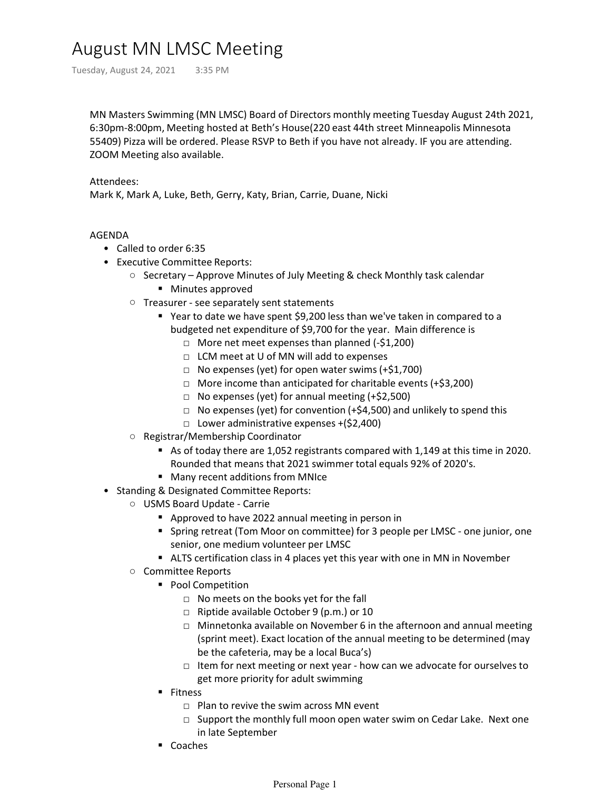## August MN LMSC Meeting

Tuesday, August 24, 2021 3:35 PM

MN Masters Swimming (MN LMSC) Board of Directors monthly meeting Tuesday August 24th 2021, 6:30pm-8:00pm, Meeting hosted at Beth's House(220 east 44th street Minneapolis Minnesota 55409) Pizza will be ordered. Please RSVP to Beth if you have not already. IF you are attending. ZOOM Meeting also available.

## Attendees:

Mark K, Mark A, Luke, Beth, Gerry, Katy, Brian, Carrie, Duane, Nicki

## AGENDA

- Called to order 6:35
- Executive Committee Reports:
	- Secretary Approve Minutes of July Meeting & check Monthly task calendar
		- **Minutes approved**
	- Treasurer see separately sent statements
		- Year to date we have spent \$9,200 less than we've taken in compared to a budgeted net expenditure of \$9,700 for the year. Main difference is
			- □ More net meet expenses than planned (-\$1,200)
			- □ LCM meet at U of MN will add to expenses
			- $\Box$  No expenses (yet) for open water swims (+\$1,700)
			- □ More income than anticipated for charitable events (+\$3,200)
			- $\Box$  No expenses (yet) for annual meeting (+\$2,500)
			- □ No expenses (yet) for convention (+\$4,500) and unlikely to spend this
			- □ Lower administrative expenses +(\$2,400)
	- Registrar/Membership Coordinator
		- As of today there are 1,052 registrants compared with 1,149 at this time in 2020. Rounded that means that 2021 swimmer total equals 92% of 2020's.
		- **Many recent additions from MNIce**
- Standing & Designated Committee Reports:
	- USMS Board Update Carrie
		- **Approved to have 2022 annual meeting in person in**
		- Spring retreat (Tom Moor on committee) for 3 people per LMSC one junior, one senior, one medium volunteer per LMSC
		- ALTS certification class in 4 places yet this year with one in MN in November
		- Committee Reports
			- **Pool Competition** 
				- □ No meets on the books yet for the fall
				- □ Riptide available October 9 (p.m.) or 10
				- □ Minnetonka available on November 6 in the afternoon and annual meeting (sprint meet). Exact location of the annual meeting to be determined (may be the cafeteria, may be a local Buca's)
				- □ Item for next meeting or next year how can we advocate for ourselves to get more priority for adult swimming
			- **Fitness** 
				- $\Box$  Plan to revive the swim across MN event
				- □ Support the monthly full moon open water swim on Cedar Lake. Next one in late September
			- Coaches